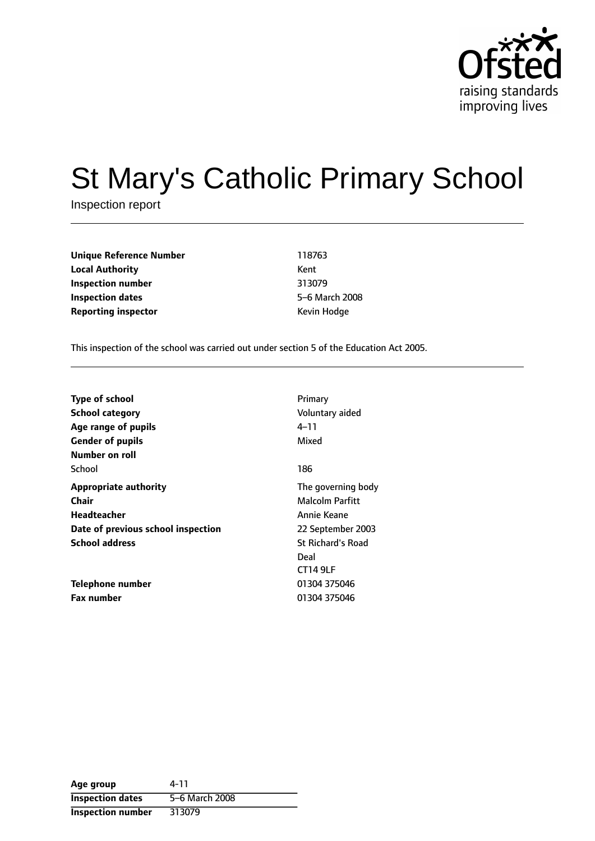

# St Mary's Catholic Primary School

Inspection report

**Unique Reference Number** 118763 **Local Authority** Kent **Inspection number** 313079 **Inspection dates** 5-6 March 2008 **Reporting inspector CONFIDENTIAL REPORTING KEVIN Hodge** 

This inspection of the school was carried out under section 5 of the Education Act 2005.

| <b>Type of school</b><br><b>School category</b><br>Age range of pupils<br><b>Gender of pupils</b> | Primary<br>Voluntary aided<br>4–11<br>Mixed |
|---------------------------------------------------------------------------------------------------|---------------------------------------------|
| Number on roll                                                                                    |                                             |
| School                                                                                            | 186                                         |
| <b>Appropriate authority</b>                                                                      | The governing body                          |
| <b>Chair</b>                                                                                      | Malcolm Parfitt                             |
| Headteacher                                                                                       | Annie Keane                                 |
| Date of previous school inspection                                                                | 22 September 2003                           |
| <b>School address</b>                                                                             | <b>St Richard's Road</b>                    |
|                                                                                                   | Deal                                        |
|                                                                                                   | <b>CT14 9LF</b>                             |
| Telephone number                                                                                  | 01304 375046                                |
| <b>Fax number</b>                                                                                 | 01304 375046                                |

| Age group                | 4-11           |
|--------------------------|----------------|
| <b>Inspection dates</b>  | 5-6 March 2008 |
| <b>Inspection number</b> | 313079         |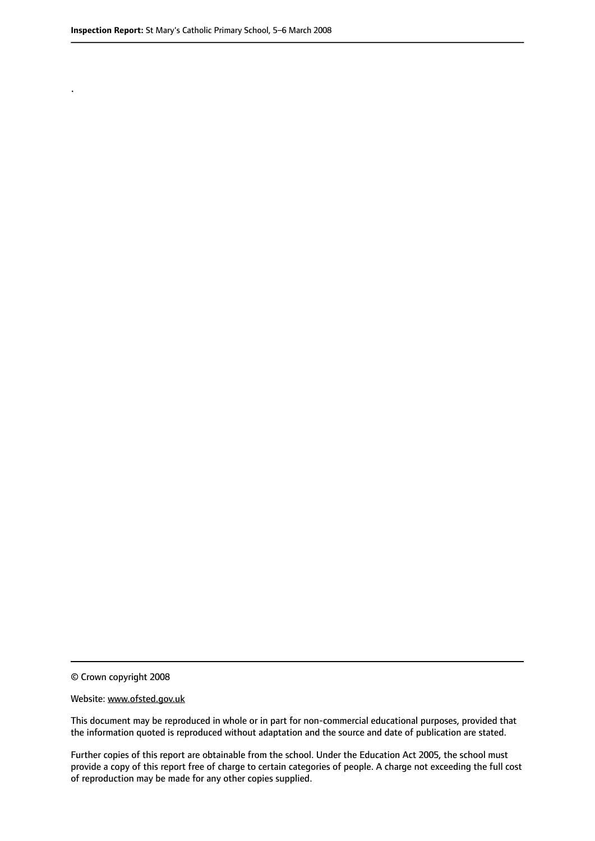.

© Crown copyright 2008

#### Website: www.ofsted.gov.uk

This document may be reproduced in whole or in part for non-commercial educational purposes, provided that the information quoted is reproduced without adaptation and the source and date of publication are stated.

Further copies of this report are obtainable from the school. Under the Education Act 2005, the school must provide a copy of this report free of charge to certain categories of people. A charge not exceeding the full cost of reproduction may be made for any other copies supplied.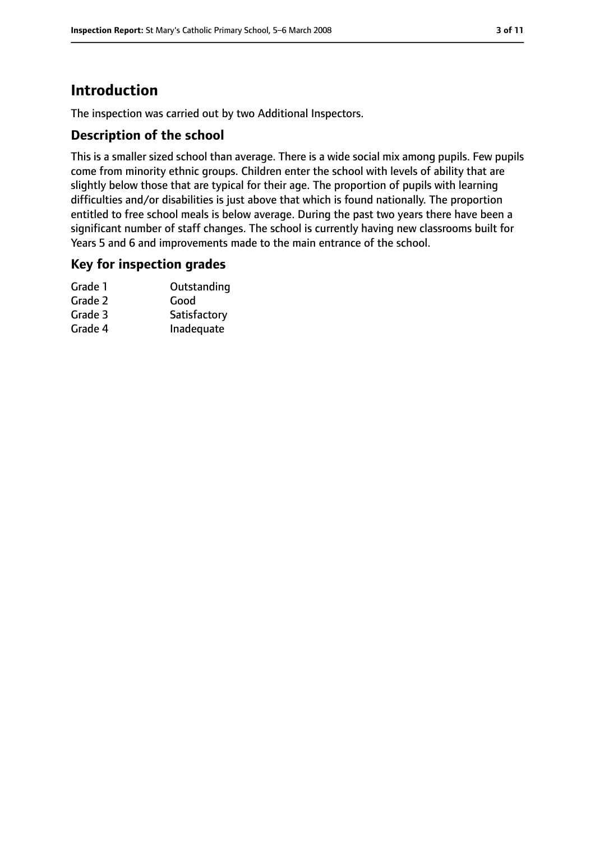## **Introduction**

The inspection was carried out by two Additional Inspectors.

#### **Description of the school**

This is a smaller sized school than average. There is a wide social mix among pupils. Few pupils come from minority ethnic groups. Children enter the school with levels of ability that are slightly below those that are typical for their age. The proportion of pupils with learning difficulties and/or disabilities is just above that which is found nationally. The proportion entitled to free school meals is below average. During the past two years there have been a significant number of staff changes. The school is currently having new classrooms built for Years 5 and 6 and improvements made to the main entrance of the school.

#### **Key for inspection grades**

| Grade 1 | Outstanding  |
|---------|--------------|
| Grade 2 | Good         |
| Grade 3 | Satisfactory |
| Grade 4 | Inadequate   |
|         |              |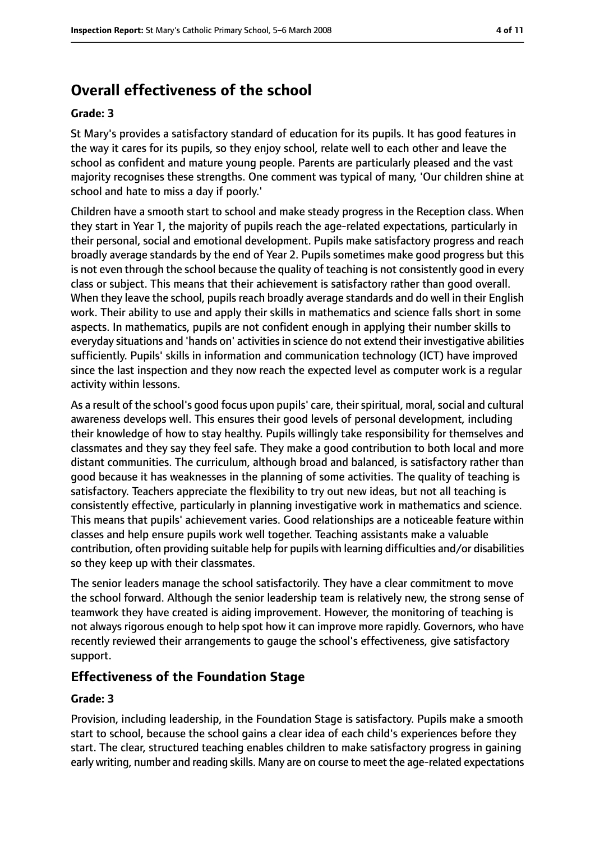# **Overall effectiveness of the school**

#### **Grade: 3**

St Mary's provides a satisfactory standard of education for its pupils. It has good features in the way it cares for its pupils, so they enjoy school, relate well to each other and leave the school as confident and mature young people. Parents are particularly pleased and the vast majority recognises these strengths. One comment was typical of many, 'Our children shine at school and hate to miss a day if poorly.'

Children have a smooth start to school and make steady progress in the Reception class. When they start in Year 1, the majority of pupils reach the age-related expectations, particularly in their personal, social and emotional development. Pupils make satisfactory progress and reach broadly average standards by the end of Year 2. Pupils sometimes make good progress but this is not even through the school because the quality of teaching is not consistently good in every class or subject. This means that their achievement is satisfactory rather than good overall. When they leave the school, pupils reach broadly average standards and do well in their English work. Their ability to use and apply their skills in mathematics and science falls short in some aspects. In mathematics, pupils are not confident enough in applying their number skills to everyday situations and 'hands on' activities in science do not extend their investigative abilities sufficiently. Pupils' skills in information and communication technology (ICT) have improved since the last inspection and they now reach the expected level as computer work is a regular activity within lessons.

As a result of the school's good focus upon pupils' care, their spiritual, moral, social and cultural awareness develops well. This ensures their good levels of personal development, including their knowledge of how to stay healthy. Pupils willingly take responsibility for themselves and classmates and they say they feel safe. They make a good contribution to both local and more distant communities. The curriculum, although broad and balanced, is satisfactory rather than good because it has weaknesses in the planning of some activities. The quality of teaching is satisfactory. Teachers appreciate the flexibility to try out new ideas, but not all teaching is consistently effective, particularly in planning investigative work in mathematics and science. This means that pupils' achievement varies. Good relationships are a noticeable feature within classes and help ensure pupils work well together. Teaching assistants make a valuable contribution, often providing suitable help for pupils with learning difficulties and/or disabilities so they keep up with their classmates.

The senior leaders manage the school satisfactorily. They have a clear commitment to move the school forward. Although the senior leadership team is relatively new, the strong sense of teamwork they have created is aiding improvement. However, the monitoring of teaching is not always rigorous enough to help spot how it can improve more rapidly. Governors, who have recently reviewed their arrangements to gauge the school's effectiveness, give satisfactory support.

#### **Effectiveness of the Foundation Stage**

#### **Grade: 3**

Provision, including leadership, in the Foundation Stage is satisfactory. Pupils make a smooth start to school, because the school gains a clear idea of each child's experiences before they start. The clear, structured teaching enables children to make satisfactory progress in gaining early writing, number and reading skills. Many are on course to meet the age-related expectations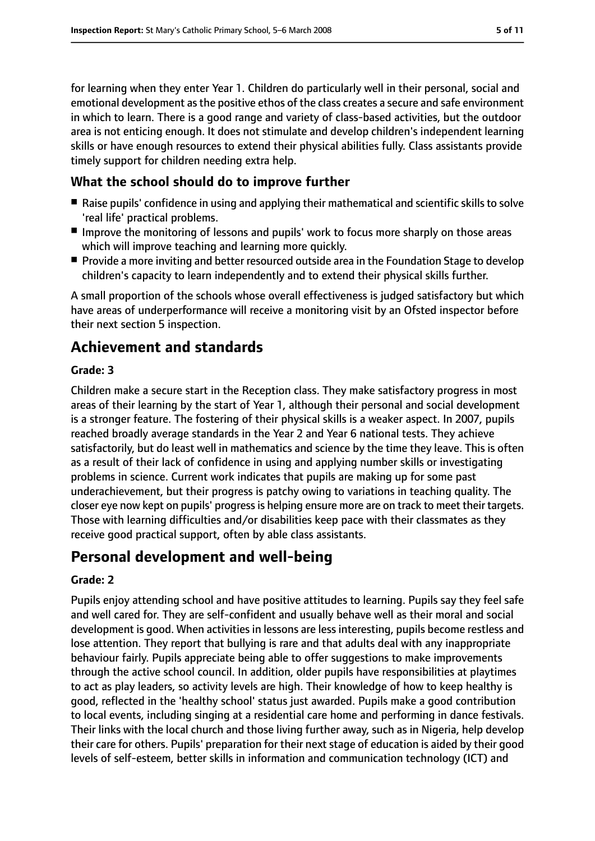for learning when they enter Year 1. Children do particularly well in their personal, social and emotional development as the positive ethos of the class creates a secure and safe environment in which to learn. There is a good range and variety of class-based activities, but the outdoor area is not enticing enough. It does not stimulate and develop children's independent learning skills or have enough resources to extend their physical abilities fully. Class assistants provide timely support for children needing extra help.

#### **What the school should do to improve further**

- Raise pupils' confidence in using and applying their mathematical and scientific skills to solve 'real life' practical problems.
- Improve the monitoring of lessons and pupils' work to focus more sharply on those areas which will improve teaching and learning more quickly.
- Provide a more inviting and better resourced outside area in the Foundation Stage to develop children's capacity to learn independently and to extend their physical skills further.

A small proportion of the schools whose overall effectiveness is judged satisfactory but which have areas of underperformance will receive a monitoring visit by an Ofsted inspector before their next section 5 inspection.

## **Achievement and standards**

#### **Grade: 3**

Children make a secure start in the Reception class. They make satisfactory progress in most areas of their learning by the start of Year 1, although their personal and social development is a stronger feature. The fostering of their physical skills is a weaker aspect. In 2007, pupils reached broadly average standards in the Year 2 and Year 6 national tests. They achieve satisfactorily, but do least well in mathematics and science by the time they leave. This is often as a result of their lack of confidence in using and applying number skills or investigating problems in science. Current work indicates that pupils are making up for some past underachievement, but their progress is patchy owing to variations in teaching quality. The closer eye now kept on pupils' progressis helping ensure more are on track to meet their targets. Those with learning difficulties and/or disabilities keep pace with their classmates as they receive good practical support, often by able class assistants.

## **Personal development and well-being**

#### **Grade: 2**

Pupils enjoy attending school and have positive attitudes to learning. Pupils say they feel safe and well cared for. They are self-confident and usually behave well as their moral and social development is good. When activities in lessons are less interesting, pupils become restless and lose attention. They report that bullying is rare and that adults deal with any inappropriate behaviour fairly. Pupils appreciate being able to offer suggestions to make improvements through the active school council. In addition, older pupils have responsibilities at playtimes to act as play leaders, so activity levels are high. Their knowledge of how to keep healthy is good, reflected in the 'healthy school' status just awarded. Pupils make a good contribution to local events, including singing at a residential care home and performing in dance festivals. Their links with the local church and those living further away, such as in Nigeria, help develop their care for others. Pupils' preparation for their next stage of education is aided by their good levels of self-esteem, better skills in information and communication technology (ICT) and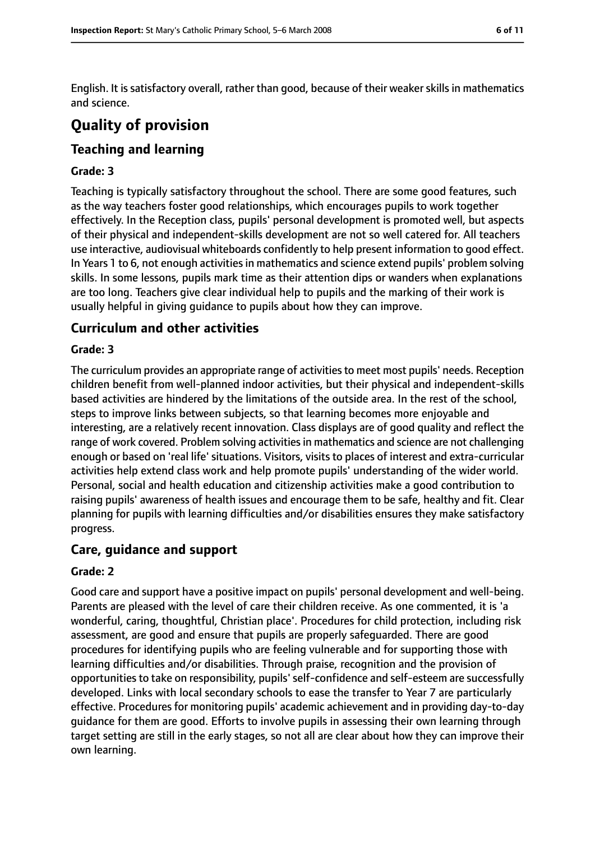English. It is satisfactory overall, rather than good, because of their weaker skills in mathematics and science.

# **Quality of provision**

## **Teaching and learning**

#### **Grade: 3**

Teaching is typically satisfactory throughout the school. There are some good features, such as the way teachers foster good relationships, which encourages pupils to work together effectively. In the Reception class, pupils' personal development is promoted well, but aspects of their physical and independent-skills development are not so well catered for. All teachers use interactive, audiovisual whiteboards confidently to help present information to good effect. In Years 1 to 6, not enough activities in mathematics and science extend pupils' problem solving skills. In some lessons, pupils mark time as their attention dips or wanders when explanations are too long. Teachers give clear individual help to pupils and the marking of their work is usually helpful in giving guidance to pupils about how they can improve.

#### **Curriculum and other activities**

#### **Grade: 3**

The curriculum provides an appropriate range of activitiesto meet most pupils' needs. Reception children benefit from well-planned indoor activities, but their physical and independent-skills based activities are hindered by the limitations of the outside area. In the rest of the school, steps to improve links between subjects, so that learning becomes more enjoyable and interesting, are a relatively recent innovation. Class displays are of good quality and reflect the range of work covered. Problem solving activities in mathematics and science are not challenging enough or based on 'real life' situations. Visitors, visits to places of interest and extra-curricular activities help extend class work and help promote pupils' understanding of the wider world. Personal, social and health education and citizenship activities make a good contribution to raising pupils' awareness of health issues and encourage them to be safe, healthy and fit. Clear planning for pupils with learning difficulties and/or disabilities ensures they make satisfactory progress.

#### **Care, guidance and support**

#### **Grade: 2**

Good care and support have a positive impact on pupils' personal development and well-being. Parents are pleased with the level of care their children receive. As one commented, it is 'a wonderful, caring, thoughtful, Christian place'. Procedures for child protection, including risk assessment, are good and ensure that pupils are properly safeguarded. There are good procedures for identifying pupils who are feeling vulnerable and for supporting those with learning difficulties and/or disabilities. Through praise, recognition and the provision of opportunities to take on responsibility, pupils' self-confidence and self-esteem are successfully developed. Links with local secondary schools to ease the transfer to Year 7 are particularly effective. Procedures for monitoring pupils' academic achievement and in providing day-to-day guidance for them are good. Efforts to involve pupils in assessing their own learning through target setting are still in the early stages, so not all are clear about how they can improve their own learning.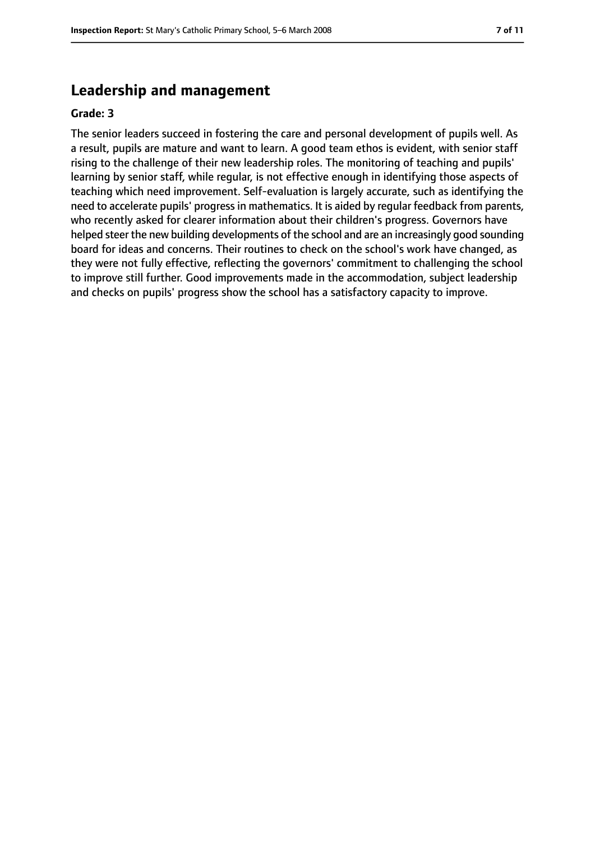### **Leadership and management**

#### **Grade: 3**

The senior leaders succeed in fostering the care and personal development of pupils well. As a result, pupils are mature and want to learn. A good team ethos is evident, with senior staff rising to the challenge of their new leadership roles. The monitoring of teaching and pupils' learning by senior staff, while regular, is not effective enough in identifying those aspects of teaching which need improvement. Self-evaluation is largely accurate, such as identifying the need to accelerate pupils' progress in mathematics. It is aided by regular feedback from parents, who recently asked for clearer information about their children's progress. Governors have helped steer the new building developments of the school and are an increasingly good sounding board for ideas and concerns. Their routines to check on the school's work have changed, as they were not fully effective, reflecting the governors' commitment to challenging the school to improve still further. Good improvements made in the accommodation, subject leadership and checks on pupils' progress show the school has a satisfactory capacity to improve.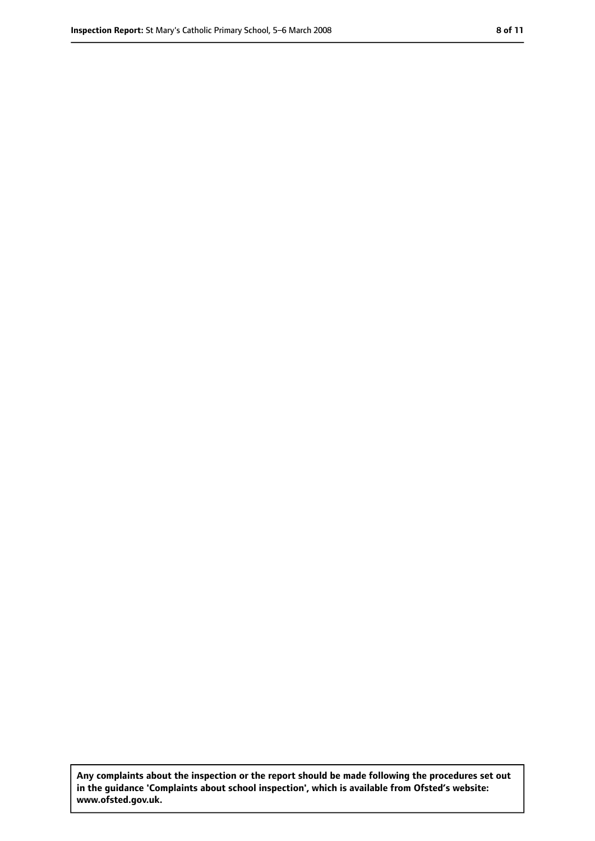**Any complaints about the inspection or the report should be made following the procedures set out in the guidance 'Complaints about school inspection', which is available from Ofsted's website: www.ofsted.gov.uk.**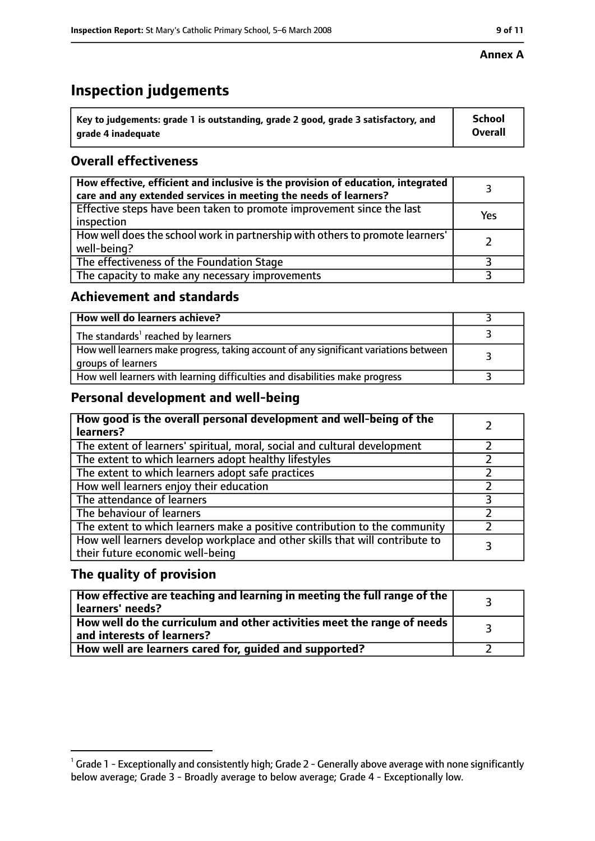## **Inspection judgements**

| $\dot{~}$ Key to judgements: grade 1 is outstanding, grade 2 good, grade 3 satisfactory, and | <b>School</b>  |
|----------------------------------------------------------------------------------------------|----------------|
| arade 4 inadequate                                                                           | <b>Overall</b> |

### **Overall effectiveness**

| How effective, efficient and inclusive is the provision of education, integrated<br>care and any extended services in meeting the needs of learners? |     |
|------------------------------------------------------------------------------------------------------------------------------------------------------|-----|
| Effective steps have been taken to promote improvement since the last<br>inspection                                                                  | Yes |
| How well does the school work in partnership with others to promote learners'<br>well-being?                                                         |     |
| The effectiveness of the Foundation Stage                                                                                                            |     |
| The capacity to make any necessary improvements                                                                                                      |     |

#### **Achievement and standards**

| How well do learners achieve?                                                                               |  |
|-------------------------------------------------------------------------------------------------------------|--|
| The standards <sup>1</sup> reached by learners                                                              |  |
| How well learners make progress, taking account of any significant variations between<br>groups of learners |  |
| How well learners with learning difficulties and disabilities make progress                                 |  |

#### **Personal development and well-being**

| How good is the overall personal development and well-being of the<br>learners?                                  |  |
|------------------------------------------------------------------------------------------------------------------|--|
| The extent of learners' spiritual, moral, social and cultural development                                        |  |
| The extent to which learners adopt healthy lifestyles                                                            |  |
| The extent to which learners adopt safe practices                                                                |  |
| How well learners enjoy their education                                                                          |  |
| The attendance of learners                                                                                       |  |
| The behaviour of learners                                                                                        |  |
| The extent to which learners make a positive contribution to the community                                       |  |
| How well learners develop workplace and other skills that will contribute to<br>their future economic well-being |  |

#### **The quality of provision**

| How effective are teaching and learning in meeting the full range of the<br>learners' needs?          |  |
|-------------------------------------------------------------------------------------------------------|--|
| How well do the curriculum and other activities meet the range of needs<br>and interests of learners? |  |
| How well are learners cared for, guided and supported?                                                |  |

 $^1$  Grade 1 - Exceptionally and consistently high; Grade 2 - Generally above average with none significantly below average; Grade 3 - Broadly average to below average; Grade 4 - Exceptionally low.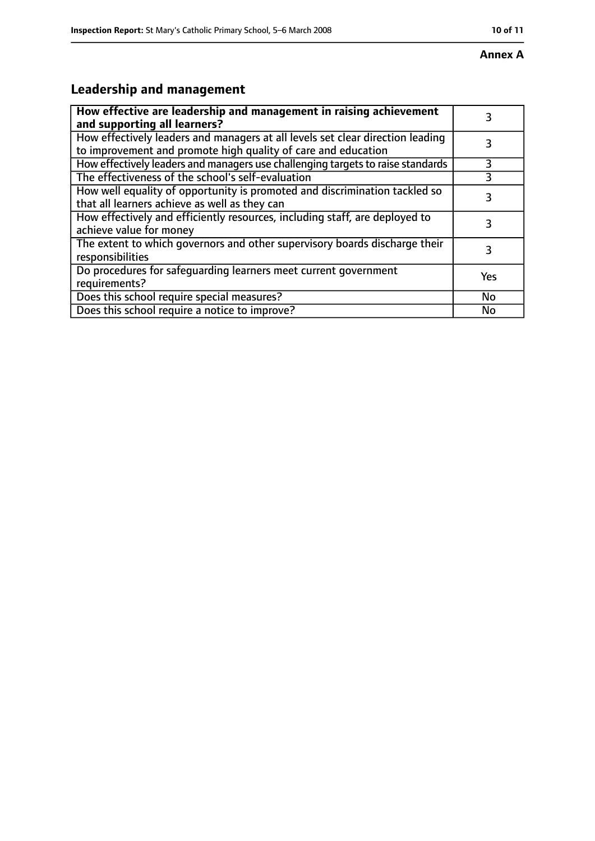# **Leadership and management**

| How effective are leadership and management in raising achievement<br>and supporting all learners?                                              |     |
|-------------------------------------------------------------------------------------------------------------------------------------------------|-----|
| How effectively leaders and managers at all levels set clear direction leading<br>to improvement and promote high quality of care and education |     |
| How effectively leaders and managers use challenging targets to raise standards                                                                 | 3   |
| The effectiveness of the school's self-evaluation                                                                                               |     |
| How well equality of opportunity is promoted and discrimination tackled so<br>that all learners achieve as well as they can                     | 3   |
| How effectively and efficiently resources, including staff, are deployed to<br>achieve value for money                                          | 3   |
| The extent to which governors and other supervisory boards discharge their<br>responsibilities                                                  | 3   |
| Do procedures for safequarding learners meet current government<br>requirements?                                                                | Yes |
| Does this school require special measures?                                                                                                      | No  |
| Does this school require a notice to improve?                                                                                                   | No  |